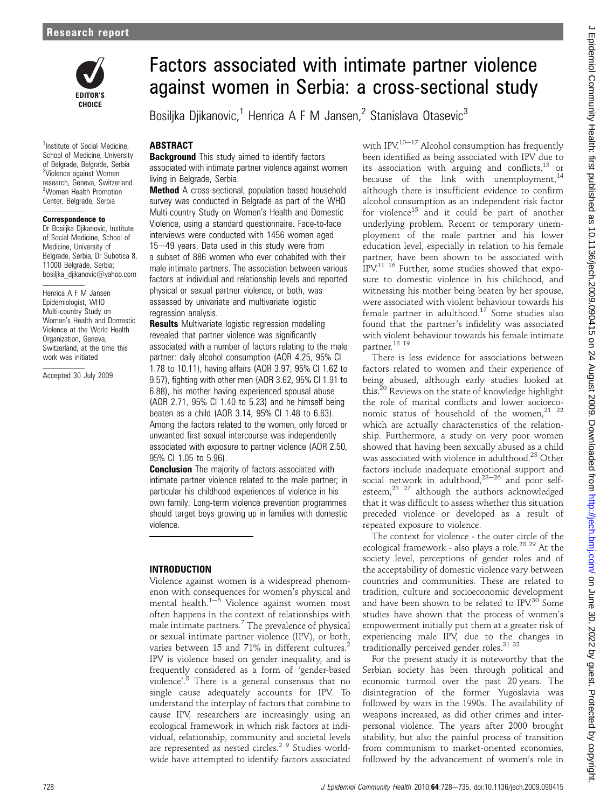

<sup>1</sup>Institute of Social Medicine, School of Medicine, University of Belgrade, Belgrade, Serbia <sup>2</sup>Violence against Women research, Geneva, Switzerland 3 Women Health Promotion Center, Belgrade, Serbia

#### Correspondence to

Dr Bosiljka Djikanovic, Institute of Social Medicine, School of Medicine, University of Belgrade, Serbia, Dr Subotica 8, 11000 Belgrade, Serbia; bosiljka\_djikanovic@yahoo.com

Henrica A F M Jansen Epidemiologist, WHO Multi-country Study on Women's Health and Domestic Violence at the World Health Organization, Geneva, Switzerland, at the time this work was initiated

Accepted 30 July 2009

# Factors associated with intimate partner violence against women in Serbia: a cross-sectional study

Bosilika Diikanovic,<sup>1</sup> Henrica A F M Jansen,<sup>2</sup> Stanislava Otasevic<sup>3</sup>

## **ABSTRACT**

**Background** This study aimed to identify factors associated with intimate partner violence against women living in Belgrade, Serbia.

Method A cross-sectional, population based household survey was conducted in Belgrade as part of the WHO Multi-country Study on Women's Health and Domestic Violence, using a standard questionnaire. Face-to-face interviews were conducted with 1456 women aged 15-49 years. Data used in this study were from a subset of 886 women who ever cohabited with their male intimate partners. The association between various factors at individual and relationship levels and reported physical or sexual partner violence, or both, was assessed by univariate and multivariate logistic regression analysis.

**Results** Multivariate logistic regression modelling revealed that partner violence was significantly associated with a number of factors relating to the male partner: daily alcohol consumption (AOR 4.25, 95% CI 1.78 to 10.11), having affairs (AOR 3.97, 95% CI 1.62 to 9.57), fighting with other men (AOR 3.62, 95% CI 1.91 to 6.88), his mother having experienced spousal abuse (AOR 2.71, 95% CI 1.40 to 5.23) and he himself being beaten as a child (AOR 3.14, 95% CI 1.48 to 6.63). Among the factors related to the women, only forced or unwanted first sexual intercourse was independently associated with exposure to partner violence (AOR 2.50, 95% CI 1.05 to 5.96).

**Conclusion** The majority of factors associated with intimate partner violence related to the male partner; in particular his childhood experiences of violence in his own family. Long-term violence prevention programmes should target boys growing up in families with domestic violence.

#### INTRODUCTION

Violence against women is a widespread phenomenon with consequences for women's physical and mental health. $1-\overline{6}$  Violence against women most often happens in the context of relationships with male intimate partners.<sup>7</sup> The prevalence of physical or sexual intimate partner violence (IPV), or both, varies between 15 and 71% in different cultures.<sup>2</sup> IPV is violence based on gender inequality, and is frequently considered as a form of 'gender-based violence'. <sup>8</sup> There is a general consensus that no single cause adequately accounts for IPV. To understand the interplay of factors that combine to cause IPV, researchers are increasingly using an ecological framework in which risk factors at individual, relationship, community and societal levels are represented as nested circles.2 9 Studies worldwide have attempted to identify factors associated

with  $IPV^{10-17}$  Alcohol consumption has frequently been identified as being associated with IPV due to its association with arguing and conflicts, $^{13}$  or because of the link with unemployment, $14$ although there is insufficient evidence to confirm alcohol consumption as an independent risk factor for violence<sup>15</sup> and it could be part of another underlying problem. Recent or temporary unemployment of the male partner and his lower education level, especially in relation to his female partner, have been shown to be associated with IPV.11 16 Further, some studies showed that exposure to domestic violence in his childhood, and witnessing his mother being beaten by her spouse, were associated with violent behaviour towards his female partner in adulthood.<sup>17</sup> Some studies also found that the partner's infidelity was associated with violent behaviour towards his female intimate partner.18 19

There is less evidence for associations between factors related to women and their experience of being abused, although early studies looked at this.<sup>20</sup> Reviews on the state of knowledge highlight the role of marital conflicts and lower socioeconomic status of household of the women.<sup>21</sup> <sup>22</sup> which are actually characteristics of the relationship. Furthermore, a study on very poor women showed that having been sexually abused as a child was associated with violence in adulthood.<sup>23</sup> Other factors include inadequate emotional support and social network in adulthood, $2^{3-26}$  and poor selfesteem,23 27 although the authors acknowledged that it was difficult to assess whether this situation preceded violence or developed as a result of repeated exposure to violence.

The context for violence - the outer circle of the ecological framework - also plays a role.<sup>28 29</sup> At the society level, perceptions of gender roles and of the acceptability of domestic violence vary between countries and communities. These are related to tradition, culture and socioeconomic development and have been shown to be related to IPV.<sup>30</sup> Some studies have shown that the process of women's empowerment initially put them at a greater risk of experiencing male IPV, due to the changes in traditionally perceived gender roles.<sup>31 32</sup>

For the present study it is noteworthy that the Serbian society has been through political and economic turmoil over the past 20 years. The disintegration of the former Yugoslavia was followed by wars in the 1990s. The availability of weapons increased, as did other crimes and interpersonal violence. The years after 2000 brought stability, but also the painful process of transition from communism to market-oriented economies, followed by the advancement of women's role in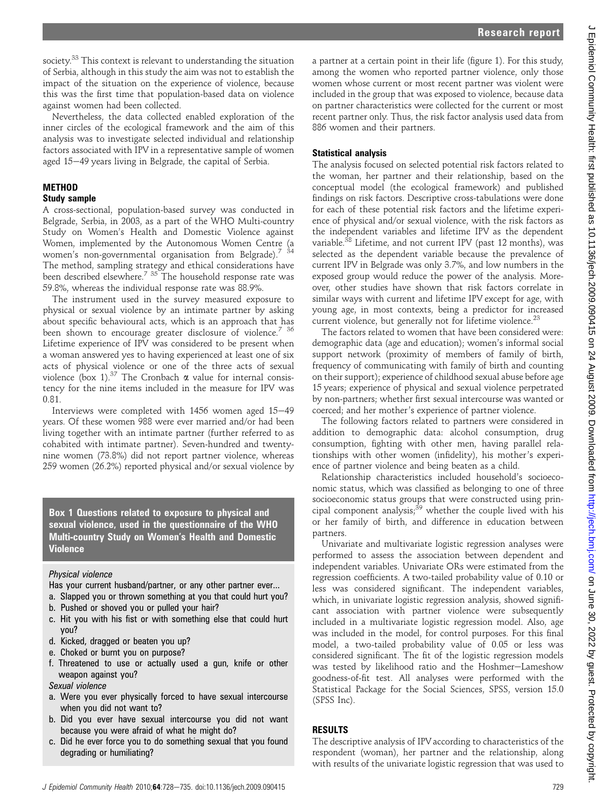society.<sup>33</sup> This context is relevant to understanding the situation of Serbia, although in this study the aim was not to establish the impact of the situation on the experience of violence, because this was the first time that population-based data on violence against women had been collected.

Nevertheless, the data collected enabled exploration of the inner circles of the ecological framework and the aim of this analysis was to investigate selected individual and relationship factors associated with IPV in a representative sample of women aged 15–49 years living in Belgrade, the capital of Serbia.

# **METHOD**

#### Study sample

A cross-sectional, population-based survey was conducted in Belgrade, Serbia, in 2003, as a part of the WHO Multi-country Study on Women's Health and Domestic Violence against Women, implemented by the Autonomous Women Centre (a women's non-governmental organisation from Belgrade).<sup>7</sup> The method, sampling strategy and ethical considerations have been described elsewhere.<sup>7 35</sup> The household response rate was 59.8%, whereas the individual response rate was 88.9%.

The instrument used in the survey measured exposure to physical or sexual violence by an intimate partner by asking about specific behavioural acts, which is an approach that has been shown to encourage greater disclosure of violence.<sup>7</sup> <sup>36</sup> Lifetime experience of IPV was considered to be present when a woman answered yes to having experienced at least one of six acts of physical violence or one of the three acts of sexual violence (box 1).<sup>37</sup> The Cronbach  $\alpha$  value for internal consistency for the nine items included in the measure for IPV was 0.81.

Interviews were completed with  $1456$  women aged  $15-49$ years. Of these women 988 were ever married and/or had been living together with an intimate partner (further referred to as cohabited with intimate partner). Seven-hundred and twentynine women (73.8%) did not report partner violence, whereas 259 women (26.2%) reported physical and/or sexual violence by

Box 1 Questions related to exposure to physical and sexual violence, used in the questionnaire of the WHO Multi-country Study on Women's Health and Domestic **Violence** 

## Physical violence

- Has your current husband/partner, or any other partner ever...
- a. Slapped you or thrown something at you that could hurt you?
- b. Pushed or shoved you or pulled your hair?
- c. Hit you with his fist or with something else that could hurt you?
- d. Kicked, dragged or beaten you up?
- e. Choked or burnt you on purpose?
- f. Threatened to use or actually used a gun, knife or other weapon against you?

Sexual violence

- a. Were you ever physically forced to have sexual intercourse when you did not want to?
- b. Did you ever have sexual intercourse you did not want because you were afraid of what he might do?
- c. Did he ever force you to do something sexual that you found degrading or humiliating?

a partner at a certain point in their life (figure 1). For this study, among the women who reported partner violence, only those women whose current or most recent partner was violent were included in the group that was exposed to violence, because data on partner characteristics were collected for the current or most recent partner only. Thus, the risk factor analysis used data from 886 women and their partners.

# Statistical analysis

The analysis focused on selected potential risk factors related to the woman, her partner and their relationship, based on the conceptual model (the ecological framework) and published findings on risk factors. Descriptive cross-tabulations were done for each of these potential risk factors and the lifetime experience of physical and/or sexual violence, with the risk factors as the independent variables and lifetime IPV as the dependent variable.<sup>38</sup> Lifetime, and not current IPV (past 12 months), was selected as the dependent variable because the prevalence of current IPV in Belgrade was only 3.7%, and low numbers in the exposed group would reduce the power of the analysis. Moreover, other studies have shown that risk factors correlate in similar ways with current and lifetime IPV except for age, with young age, in most contexts, being a predictor for increased current violence, but generally not for lifetime violence.<sup>23</sup>

The factors related to women that have been considered were: demographic data (age and education); women's informal social support network (proximity of members of family of birth, frequency of communicating with family of birth and counting on their support); experience of childhood sexual abuse before age 15 years; experience of physical and sexual violence perpetrated by non-partners; whether first sexual intercourse was wanted or coerced; and her mother's experience of partner violence.

The following factors related to partners were considered in addition to demographic data: alcohol consumption, drug consumption, fighting with other men, having parallel relationships with other women (infidelity), his mother's experience of partner violence and being beaten as a child.

Relationship characteristics included household's socioeconomic status, which was classified as belonging to one of three socioeconomic status groups that were constructed using principal component analysis;<sup>39</sup> whether the couple lived with his or her family of birth, and difference in education between partners.

Univariate and multivariate logistic regression analyses were performed to assess the association between dependent and independent variables. Univariate ORs were estimated from the regression coefficients. A two-tailed probability value of 0.10 or less was considered significant. The independent variables, which, in univariate logistic regression analysis, showed significant association with partner violence were subsequently included in a multivariate logistic regression model. Also, age was included in the model, for control purposes. For this final model, a two-tailed probability value of 0.05 or less was considered significant. The fit of the logistic regression models was tested by likelihood ratio and the Hoshmer-Lameshow goodness-of-fit test. All analyses were performed with the Statistical Package for the Social Sciences, SPSS, version 15.0 (SPSS Inc).

# RESULTS

The descriptive analysis of IPV according to characteristics of the respondent (woman), her partner and the relationship, along with results of the univariate logistic regression that was used to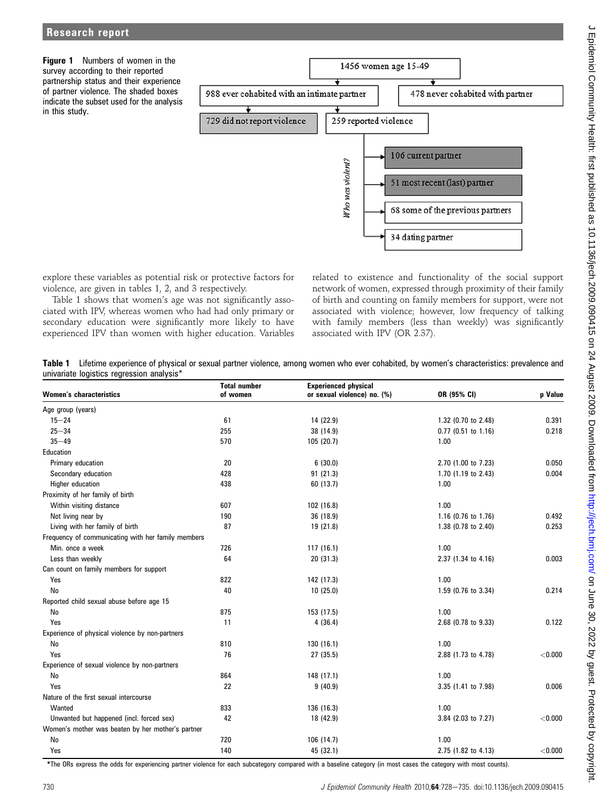

explore these variables as potential risk or protective factors for violence, are given in tables 1, 2, and 3 respectively.

Table 1 shows that women's age was not significantly associated with IPV, whereas women who had had only primary or secondary education were significantly more likely to have experienced IPV than women with higher education. Variables related to existence and functionality of the social support network of women, expressed through proximity of their family of birth and counting on family members for support, were not associated with violence; however, low frequency of talking with family members (less than weekly) was significantly associated with IPV (OR 2.37).

Table 1 Lifetime experience of physical or sexual partner violence, among women who ever cohabited, by women's characteristics: prevalence and univariate logistics regression analysis\*

| <b>Women's characteristics</b>                     | <b>Total number</b><br>of women | <b>Experienced physical</b><br>or sexual violence) no. (%) | OR (95% CI)         | p Value |
|----------------------------------------------------|---------------------------------|------------------------------------------------------------|---------------------|---------|
| Age group (years)                                  |                                 |                                                            |                     |         |
| $15 - 24$                                          | 61                              | 14 (22.9)                                                  | 1.32 (0.70 to 2.48) | 0.391   |
| $25 - 34$                                          | 255                             | 38 (14.9)                                                  | 0.77 (0.51 to 1.16) | 0.218   |
| $35 - 49$                                          | 570                             | 105 (20.7)                                                 | 1.00                |         |
| Education                                          |                                 |                                                            |                     |         |
| Primary education                                  | 20                              | 6(30.0)                                                    | 2.70 (1.00 to 7.23) | 0.050   |
| Secondary education                                | 428                             | 91(21.3)                                                   | 1.70 (1.19 to 2.43) | 0.004   |
| Higher education                                   | 438                             | 60 (13.7)                                                  | 1.00                |         |
| Proximity of her family of birth                   |                                 |                                                            |                     |         |
| Within visiting distance                           | 607                             | 102(16.8)                                                  | 1.00                |         |
| Not living near by                                 | 190                             | 36 (18.9)                                                  | 1.16 (0.76 to 1.76) | 0.492   |
| Living with her family of birth                    | 87                              | 19 (21.8)                                                  | 1.38 (0.78 to 2.40) | 0.253   |
| Frequency of communicating with her family members |                                 |                                                            |                     |         |
| Min. once a week                                   | 726                             | 117(16.1)                                                  | 1.00                |         |
| Less than weekly                                   | 64                              | 20 (31.3)                                                  | 2.37 (1.34 to 4.16) | 0.003   |
| Can count on family members for support            |                                 |                                                            |                     |         |
| Yes                                                | 822                             | 142 (17.3)                                                 | 1.00                |         |
| No                                                 | 40                              | 10(25.0)                                                   | 1.59 (0.76 to 3.34) | 0.214   |
| Reported child sexual abuse before age 15          |                                 |                                                            |                     |         |
| No                                                 | 875                             | 153 (17.5)                                                 | 1.00                |         |
| Yes                                                | 11                              | 4(36.4)                                                    | 2.68 (0.78 to 9.33) | 0.122   |
| Experience of physical violence by non-partners    |                                 |                                                            |                     |         |
| No                                                 | 810                             | 130 (16.1)                                                 | 1.00                |         |
| Yes                                                | 76                              | 27 (35.5)                                                  | 2.88 (1.73 to 4.78) | < 0.000 |
| Experience of sexual violence by non-partners      |                                 |                                                            |                     |         |
| No                                                 | 864                             | 148 (17.1)                                                 | 1.00                |         |
| Yes                                                | 22                              | 9(40.9)                                                    | 3.35 (1.41 to 7.98) | 0.006   |
| Nature of the first sexual intercourse             |                                 |                                                            |                     |         |
| Wanted                                             | 833                             | 136 (16.3)                                                 | 1.00                |         |
| Unwanted but happened (incl. forced sex)           | 42                              | 18 (42.9)                                                  | 3.84 (2.03 to 7.27) | < 0.000 |
| Women's mother was beaten by her mother's partner  |                                 |                                                            |                     |         |
| No                                                 | 720                             | 106 (14.7)                                                 | 1.00                |         |
| Yes                                                | 140                             | 45 (32.1)                                                  | 2.75 (1.82 to 4.13) | < 0.000 |

\*The ORs express the odds for experiencing partner violence for each subcategory compared with a baseline category (in most cases the category with most counts).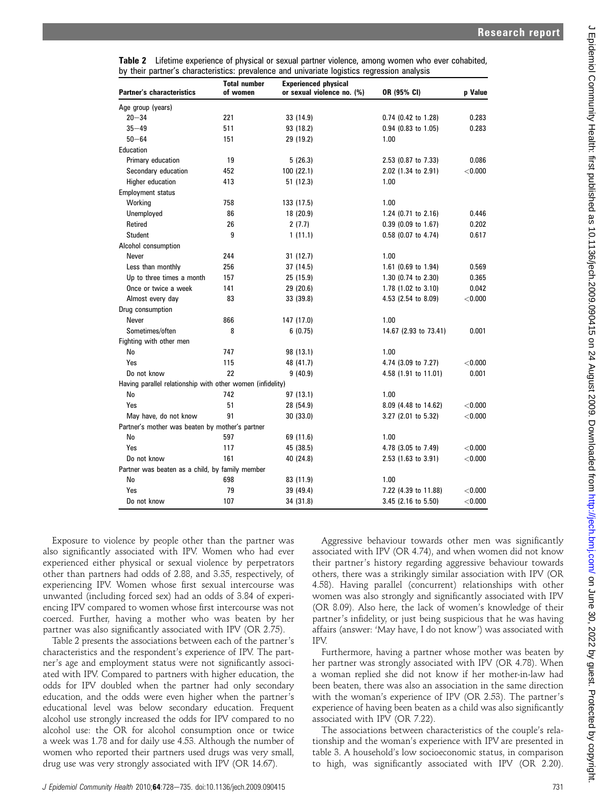| Table 2 Lifetime experience of physical or sexual partner violence, among women who ever cohabited, |  |  |  |
|-----------------------------------------------------------------------------------------------------|--|--|--|
| by their partner's characteristics: prevalence and univariate logistics regression analysis         |  |  |  |

| <b>Partner's characteristics</b>                           | <b>Total number</b><br>of women | <b>Experienced physical</b><br>or sexual violence no. (%) | OR (95% CI)                    | p Value   |
|------------------------------------------------------------|---------------------------------|-----------------------------------------------------------|--------------------------------|-----------|
| Age group (years)                                          |                                 |                                                           |                                |           |
| $20 - 34$                                                  | 221                             | 33 (14.9)                                                 | $0.74$ (0.42 to 1.28)          | 0.283     |
| $35 - 49$                                                  | 511                             | 93 (18.2)                                                 | 0.94 (0.83 to 1.05)            | 0.283     |
| $50 - 64$                                                  | 151                             | 29 (19.2)                                                 | 1.00                           |           |
| Education                                                  |                                 |                                                           |                                |           |
| Primary education                                          | 19                              | 5(26.3)                                                   | 2.53 (0.87 to 7.33)            | 0.086     |
| Secondary education                                        | 452                             | 100(22.1)                                                 | 2.02 (1.34 to 2.91)            | $<$ 0.000 |
| Higher education                                           | 413                             | 51 (12.3)                                                 | 1.00                           |           |
| <b>Employment status</b>                                   |                                 |                                                           |                                |           |
| Working                                                    | 758                             | 133 (17.5)                                                | 1.00                           |           |
| Unemployed                                                 | 86                              | 18 (20.9)                                                 | 1.24 $(0.71$ to 2.16)          | 0.446     |
| Retired                                                    | 26                              | 2(7.7)                                                    | $0.39$ (0.09 to 1.67)          | 0.202     |
| Student                                                    | 9                               | 1(11.1)                                                   | $0.58$ (0.07 to 4.74)          | 0.617     |
| Alcohol consumption                                        |                                 |                                                           |                                |           |
| Never                                                      | 244                             | 31(12.7)                                                  | 1.00                           |           |
| Less than monthly                                          | 256                             | 37 (14.5)                                                 | 1.61 (0.69 to 1.94)            | 0.569     |
| Up to three times a month                                  | 157                             | 25 (15.9)                                                 | 1.30 (0.74 to 2.30)            | 0.365     |
| Once or twice a week                                       | 141                             | 29 (20.6)                                                 | 1.78 $(1.02 \text{ to } 3.10)$ | 0.042     |
| Almost every day                                           | 83                              | 33 (39.8)                                                 | 4.53 (2.54 to 8.09)            | $<$ 0.000 |
| Drug consumption                                           |                                 |                                                           |                                |           |
| Never                                                      | 866                             | 147 (17.0)                                                | 1.00                           |           |
| Sometimes/often                                            | 8                               | 6(0.75)                                                   | 14.67 (2.93 to 73.41)          | 0.001     |
| Fighting with other men                                    |                                 |                                                           |                                |           |
| No                                                         | 747                             | 98 (13.1)                                                 | 1.00                           |           |
| Yes                                                        | 115                             | 48 (41.7)                                                 | 4.74 (3.09 to 7.27)            | < 0.000   |
| Do not know                                                | 22                              | 9(40.9)                                                   | 4.58 (1.91 to 11.01)           | 0.001     |
| Having parallel relationship with other women (infidelity) |                                 |                                                           |                                |           |
| No                                                         | 742                             | 97 (13.1)                                                 | 1.00                           |           |
| Yes                                                        | 51                              | 28 (54.9)                                                 | 8.09 (4.48 to 14.62)           | < 0.000   |
| May have, do not know                                      | 91                              | 30 (33.0)                                                 | 3.27 (2.01 to 5.32)            | < 0.000   |
| Partner's mother was beaten by mother's partner            |                                 |                                                           |                                |           |
| No                                                         | 597                             | 69 (11.6)                                                 | 1.00                           |           |
| Yes                                                        | 117                             | 45 (38.5)                                                 | 4.78 (3.05 to 7.49)            | < 0.000   |
| Do not know                                                | 161                             | 40 (24.8)                                                 | 2.53 (1.63 to 3.91)            | < 0.000   |
| Partner was beaten as a child, by family member            |                                 |                                                           |                                |           |
| No                                                         | 698                             | 83 (11.9)                                                 | 1.00                           |           |
| Yes                                                        | 79                              | 39 (49.4)                                                 | 7.22 (4.39 to 11.88)           | < 0.000   |
| Do not know                                                | 107                             | 34 (31.8)                                                 | 3.45 (2.16 to 5.50)            | < 0.000   |

J Epidemiol Community Health: first published as 10.1136/jech.2009.090415 on 24 August 2009. Downloaded from http://jech.bmj.com/ on June 30, 2022 by guest. Protected by copyright J Epidemiol Community Health: first published as 10.1136/jech.2009.090415 on 24 August 2009. Downloaded from <http://jech.bmj.com/> on June 30, 2022 by guest. Protected by copyright.

Exposure to violence by people other than the partner was also significantly associated with IPV. Women who had ever experienced either physical or sexual violence by perpetrators other than partners had odds of 2.88, and 3.35, respectively, of experiencing IPV. Women whose first sexual intercourse was unwanted (including forced sex) had an odds of 3.84 of experiencing IPV compared to women whose first intercourse was not coerced. Further, having a mother who was beaten by her partner was also significantly associated with IPV (OR 2.75).

Table 2 presents the associations between each of the partner's characteristics and the respondent's experience of IPV. The partner's age and employment status were not significantly associated with IPV. Compared to partners with higher education, the odds for IPV doubled when the partner had only secondary education, and the odds were even higher when the partner's educational level was below secondary education. Frequent alcohol use strongly increased the odds for IPV compared to no alcohol use: the OR for alcohol consumption once or twice a week was 1.78 and for daily use 4.53. Although the number of women who reported their partners used drugs was very small, drug use was very strongly associated with IPV (OR 14.67).

Aggressive behaviour towards other men was significantly associated with IPV (OR 4.74), and when women did not know their partner's history regarding aggressive behaviour towards others, there was a strikingly similar association with IPV (OR 4.58). Having parallel (concurrent) relationships with other women was also strongly and significantly associated with IPV (OR 8.09). Also here, the lack of women's knowledge of their partner's infidelity, or just being suspicious that he was having affairs (answer: 'May have, I do not know') was associated with IPV.

Furthermore, having a partner whose mother was beaten by her partner was strongly associated with IPV (OR 4.78). When a woman replied she did not know if her mother-in-law had been beaten, there was also an association in the same direction with the woman's experience of IPV (OR 2.53). The partner's experience of having been beaten as a child was also significantly associated with IPV (OR 7.22).

The associations between characteristics of the couple's relationship and the woman's experience with IPV are presented in table 3. A household's low socioeconomic status, in comparison to high, was significantly associated with IPV (OR 2.20).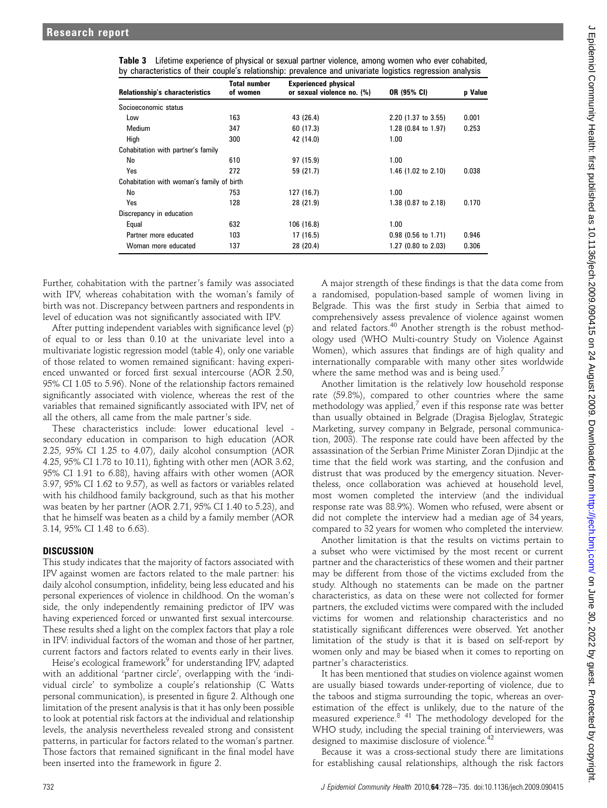| <b>Relationship's characteristics</b>     | <b>Total number</b><br>of women | <b>Experienced physical</b><br>or sexual violence no. (%) | OR (95% CI)           | p Value |
|-------------------------------------------|---------------------------------|-----------------------------------------------------------|-----------------------|---------|
| Socioeconomic status                      |                                 |                                                           |                       |         |
| Low                                       | 163                             | 43 (26.4)                                                 | $2.20$ (1.37 to 3.55) | 0.001   |
| Medium                                    | 347                             | 60 (17.3)                                                 | 1.28 (0.84 to 1.97)   | 0.253   |
| High                                      | 300                             | 42 (14.0)                                                 | 1.00                  |         |
| Cohabitation with partner's family        |                                 |                                                           |                       |         |
| No                                        | 610                             | 97 (15.9)                                                 | 1.00                  |         |
| Yes                                       | 272                             | 59 (21.7)                                                 | 1.46 (1.02 to 2.10)   | 0.038   |
| Cohabitation with woman's family of birth |                                 |                                                           |                       |         |
| No                                        | 753                             | 127 (16.7)                                                | 1.00                  |         |
| Yes                                       | 128                             | 28 (21.9)                                                 | 1.38 (0.87 to 2.18)   | 0.170   |
| Discrepancy in education                  |                                 |                                                           |                       |         |
| Equal                                     | 632                             | 106 (16.8)                                                | 1.00                  |         |
| Partner more educated                     | 103                             | 17 (16.5)                                                 | $0.98$ (0.56 to 1.71) | 0.946   |
| Woman more educated                       | 137                             | 28 (20.4)                                                 | 1.27 (0.80 to 2.03)   | 0.306   |

| Table 3 Lifetime experience of physical or sexual partner violence, among women who ever cohabited,        |  |  |  |
|------------------------------------------------------------------------------------------------------------|--|--|--|
| by characteristics of their couple's relationship: prevalence and univariate logistics regression analysis |  |  |  |

Further, cohabitation with the partner's family was associated with IPV, whereas cohabitation with the woman's family of birth was not. Discrepancy between partners and respondents in level of education was not significantly associated with IPV.

After putting independent variables with significance level (p) of equal to or less than 0.10 at the univariate level into a multivariate logistic regression model (table 4), only one variable of those related to women remained significant: having experienced unwanted or forced first sexual intercourse (AOR 2.50, 95% CI 1.05 to 5.96). None of the relationship factors remained significantly associated with violence, whereas the rest of the variables that remained significantly associated with IPV, net of all the others, all came from the male partner's side.

These characteristics include: lower educational level secondary education in comparison to high education (AOR 2.25, 95% CI 1.25 to 4.07), daily alcohol consumption (AOR 4.25, 95% CI 1.78 to 10.11), fighting with other men (AOR 3.62, 95% CI 1.91 to 6.88), having affairs with other women (AOR 3.97, 95% CI 1.62 to 9.57), as well as factors or variables related with his childhood family background, such as that his mother was beaten by her partner (AOR 2.71, 95% CI 1.40 to 5.23), and that he himself was beaten as a child by a family member (AOR 3.14, 95% CI 1.48 to 6.63).

#### DISCUSSION

This study indicates that the majority of factors associated with IPV against women are factors related to the male partner: his daily alcohol consumption, infidelity, being less educated and his personal experiences of violence in childhood. On the woman's side, the only independently remaining predictor of IPV was having experienced forced or unwanted first sexual intercourse. These results shed a light on the complex factors that play a role in IPV: individual factors of the woman and those of her partner, current factors and factors related to events early in their lives.

Heise's ecological framework<sup>9</sup> for understanding IPV, adapted with an additional 'partner circle', overlapping with the 'individual circle' to symbolize a couple's relationship (C Watts personal communication), is presented in figure 2. Although one limitation of the present analysis is that it has only been possible to look at potential risk factors at the individual and relationship levels, the analysis nevertheless revealed strong and consistent patterns, in particular for factors related to the woman's partner. Those factors that remained significant in the final model have been inserted into the framework in figure 2.

A major strength of these findings is that the data come from a randomised, population-based sample of women living in Belgrade. This was the first study in Serbia that aimed to comprehensively assess prevalence of violence against women and related factors.<sup>40</sup> Another strength is the robust methodology used (WHO Multi-country Study on Violence Against Women), which assures that findings are of high quality and internationally comparable with many other sites worldwide where the same method was and is being used.<sup>7</sup>

Another limitation is the relatively low household response rate (59.8%), compared to other countries where the same methodology was applied,<sup>7</sup> even if this response rate was better than usually obtained in Belgrade (Dragisa Bjeloglav, Strategic Marketing, survey company in Belgrade, personal communication, 2003). The response rate could have been affected by the assassination of the Serbian Prime Minister Zoran Djindjic at the time that the field work was starting, and the confusion and distrust that was produced by the emergency situation. Nevertheless, once collaboration was achieved at household level, most women completed the interview (and the individual response rate was 88.9%). Women who refused, were absent or did not complete the interview had a median age of 34 years, compared to 32 years for women who completed the interview.

Another limitation is that the results on victims pertain to a subset who were victimised by the most recent or current partner and the characteristics of these women and their partner may be different from those of the victims excluded from the study. Although no statements can be made on the partner characteristics, as data on these were not collected for former partners, the excluded victims were compared with the included victims for women and relationship characteristics and no statistically significant differences were observed. Yet another limitation of the study is that it is based on self-report by women only and may be biased when it comes to reporting on partner's characteristics.

It has been mentioned that studies on violence against women are usually biased towards under-reporting of violence, due to the taboos and stigma surrounding the topic, whereas an overestimation of the effect is unlikely, due to the nature of the measured experience.<sup>8 41</sup> The methodology developed for the WHO study, including the special training of interviewers, was designed to maximise disclosure of violence.<sup>42</sup>

Because it was a cross-sectional study there are limitations for establishing causal relationships, although the risk factors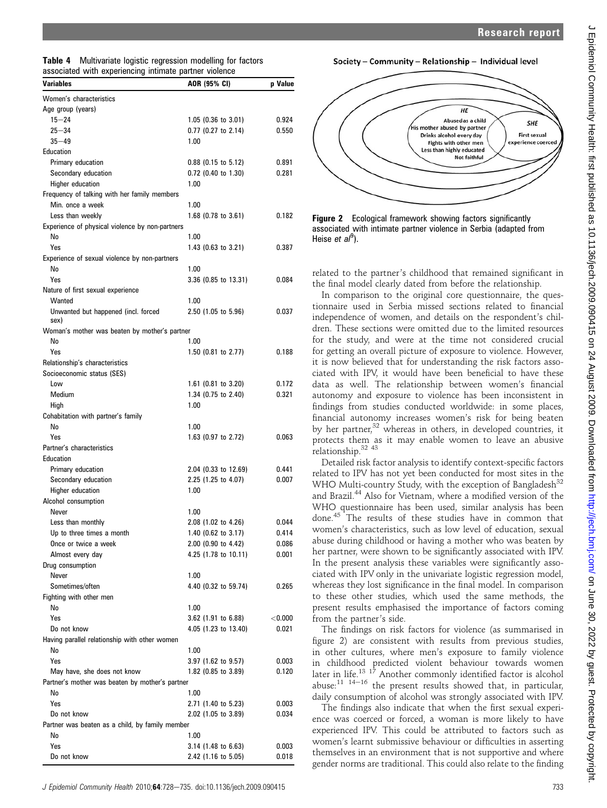| <b>Table 4</b> Multivariate logistic regression modelling for factors |  |
|-----------------------------------------------------------------------|--|
| associated with experiencing intimate partner violence                |  |

| <b>Variables</b>                                      | AOR (95% CI)                               | p Value        |
|-------------------------------------------------------|--------------------------------------------|----------------|
| Women's characteristics                               |                                            |                |
| Age group (years)                                     |                                            |                |
| $15 - 24$                                             | $1.05$ (0.36 to 3.01)                      | 0.924          |
| $25 - 34$                                             | $0.77$ (0.27 to 2.14)                      | 0.550          |
| $35 - 49$                                             | 1.00                                       |                |
| Education                                             |                                            |                |
| Primary education                                     | $0.88$ (0.15 to 5.12)                      | 0.891          |
| Secondary education                                   | $0.72$ (0.40 to 1.30)                      | 0.281          |
| Higher education                                      | 1.00                                       |                |
| Frequency of talking with her family members          |                                            |                |
| Min. once a week                                      | 1.00                                       |                |
| Less than weekly                                      | 1.68 (0.78 to 3.61)                        | 0.182          |
| Experience of physical violence by non-partners<br>No | 1.00                                       |                |
| Yes                                                   | 1.43 (0.63 to 3.21)                        | 0.387          |
| Experience of sexual violence by non-partners         |                                            |                |
| No                                                    | 1.00                                       |                |
| Yes                                                   | 3.36 (0.85 to 13.31)                       | 0.084          |
| Nature of first sexual experience                     |                                            |                |
| Wanted                                                | 1.00                                       |                |
| Unwanted but happened (incl. forced                   | 2.50 (1.05 to 5.96)                        | 0.037          |
| sex)                                                  |                                            |                |
| Woman's mother was beaten by mother's partner<br>No   | 1.00                                       |                |
| Yes                                                   |                                            | 0.188          |
| Relationship's characteristics                        | 1.50 $(0.81$ to 2.77)                      |                |
| Socioeconomic status (SES)                            |                                            |                |
| Low                                                   | 1.61 $(0.81$ to 3.20)                      | 0.172          |
| Medium                                                | 1.34 (0.75 to 2.40)                        | 0.321          |
| High                                                  | 1.00                                       |                |
| Cohabitation with partner's family                    |                                            |                |
| No                                                    | 1.00                                       |                |
| Yes                                                   | 1.63 (0.97 to 2.72)                        | 0.063          |
| Partner's characteristics                             |                                            |                |
| Education                                             |                                            |                |
| Primary education                                     | 2.04 (0.33 to 12.69)                       | 0.441          |
| Secondary education                                   | 2.25 (1.25 to 4.07)                        | 0.007          |
| Higher education                                      | 1.00                                       |                |
| Alcohol consumption                                   |                                            |                |
| Never<br>Less than monthly                            | 1.00                                       | 0.044          |
| Up to three times a month                             | 2.08 (1.02 to 4.26)<br>1.40 (0.62 to 3.17) | 0.414          |
| Once or twice a week                                  | 2.00 (0.90 to 4.42)                        | 0.086          |
| Almost every day                                      | 4.25 (1.78 to 10.11)                       | 0.001          |
| Drug consumption                                      |                                            |                |
| Never                                                 | 1.00                                       |                |
| Sometimes/often                                       | 4.40 (0.32 to 59.74)                       | 0.265          |
| Fighting with other men                               |                                            |                |
| No                                                    | 1.00                                       |                |
| Yes                                                   | $3.62$ (1.91 to 6.88)                      | $<$ 0.000      |
| Do not know                                           | 4.05 (1.23 to 13.40)                       | 0.021          |
| Having parallel relationship with other women         |                                            |                |
| No                                                    | 1.00                                       |                |
| Yes                                                   | $3.97$ (1.62 to 9.57)                      | 0.003          |
| May have, she does not know                           | 1.82 (0.85 to 3.89)                        | 0.120          |
| Partner's mother was beaten by mother's partner       |                                            |                |
| No                                                    | 1.00                                       |                |
| Yes<br>Do not know                                    | 2.71 (1.40 to 5.23)                        | 0.003<br>0.034 |
| Partner was beaten as a child, by family member       | 2.02 (1.05 to 3.89)                        |                |
| No                                                    | 1.00                                       |                |
| Yes                                                   | $3.14$ (1.48 to 6.63)                      | 0.003          |
| Do not know                                           | 2.42 (1.16 to 5.05)                        | 0.018          |
|                                                       |                                            |                |







related to the partner's childhood that remained significant in the final model clearly dated from before the relationship.

In comparison to the original core questionnaire, the questionnaire used in Serbia missed sections related to financial independence of women, and details on the respondent's children. These sections were omitted due to the limited resources for the study, and were at the time not considered crucial for getting an overall picture of exposure to violence. However, it is now believed that for understanding the risk factors associated with IPV, it would have been beneficial to have these data as well. The relationship between women's financial autonomy and exposure to violence has been inconsistent in findings from studies conducted worldwide: in some places, financial autonomy increases women's risk for being beaten by her partner, $32$  whereas in others, in developed countries, it protects them as it may enable women to leave an abusive relationship.32 43

Detailed risk factor analysis to identify context-specific factors related to IPV has not yet been conducted for most sites in the WHO Multi-country Study, with the exception of Bangladesh<sup>32</sup> and Brazil.<sup>44</sup> Also for Vietnam, where a modified version of the WHO questionnaire has been used, similar analysis has been done.<sup>45</sup> The results of these studies have in common that women's characteristics, such as low level of education, sexual abuse during childhood or having a mother who was beaten by her partner, were shown to be significantly associated with IPV. In the present analysis these variables were significantly associated with IPV only in the univariate logistic regression model, whereas they lost significance in the final model. In comparison to these other studies, which used the same methods, the present results emphasised the importance of factors coming from the partner's side.

The findings on risk factors for violence (as summarised in figure 2) are consistent with results from previous studies, in other cultures, where men's exposure to family violence in childhood predicted violent behaviour towards women later in life.<sup>13-17</sup> Another commonly identified factor is alcohol abuse:<sup>11</sup> <sup>14-16</sup> the present results showed that, in particular, daily consumption of alcohol was strongly associated with IPV.

The findings also indicate that when the first sexual experience was coerced or forced, a woman is more likely to have experienced IPV. This could be attributed to factors such as women's learnt submissive behaviour or difficulties in asserting themselves in an environment that is not supportive and where gender norms are traditional. This could also relate to the finding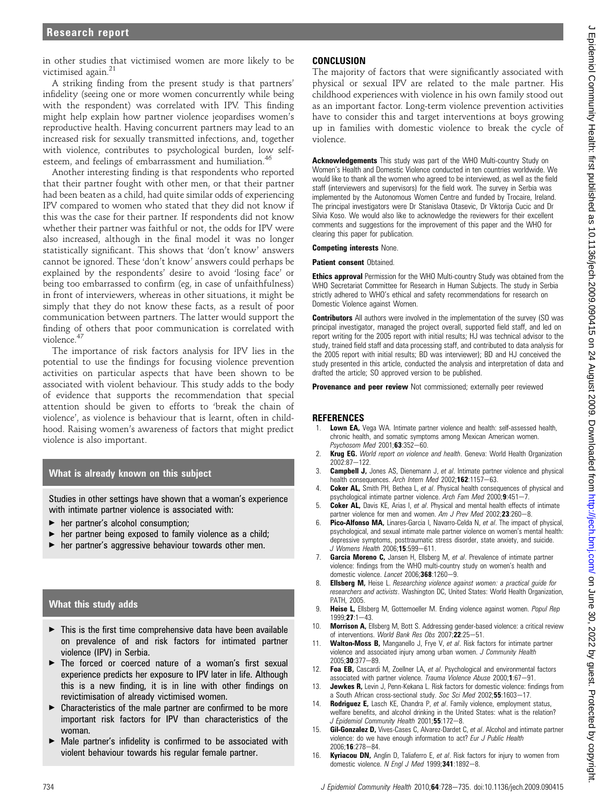in other studies that victimised women are more likely to be victimised again.<sup>21</sup>

A striking finding from the present study is that partners' infidelity (seeing one or more women concurrently while being with the respondent) was correlated with IPV. This finding might help explain how partner violence jeopardises women's reproductive health. Having concurrent partners may lead to an increased risk for sexually transmitted infections, and, together with violence, contributes to psychological burden, low selfesteem, and feelings of embarrassment and humiliation.<sup>46</sup>

Another interesting finding is that respondents who reported that their partner fought with other men, or that their partner had been beaten as a child, had quite similar odds of experiencing IPV compared to women who stated that they did not know if this was the case for their partner. If respondents did not know whether their partner was faithful or not, the odds for IPV were also increased, although in the final model it was no longer statistically significant. This shows that 'don't know' answers cannot be ignored. These 'don't know' answers could perhaps be explained by the respondents' desire to avoid 'losing face' or being too embarrassed to confirm (eg, in case of unfaithfulness) in front of interviewers, whereas in other situations, it might be simply that they do not know these facts, as a result of poor communication between partners. The latter would support the finding of others that poor communication is correlated with violence.<sup>47</sup>

The importance of risk factors analysis for IPV lies in the potential to use the findings for focusing violence prevention activities on particular aspects that have been shown to be associated with violent behaviour. This study adds to the body of evidence that supports the recommendation that special attention should be given to efforts to 'break the chain of violence', as violence is behaviour that is learnt, often in childhood. Raising women's awareness of factors that might predict violence is also important.

# What is already known on this subject

Studies in other settings have shown that a woman's experience with intimate partner violence is associated with:

- $\blacktriangleright$  her partner's alcohol consumption;
- < her partner being exposed to family violence as a child;
- $\blacktriangleright$  her partner's aggressive behaviour towards other men.

# What this study adds

- $\triangleright$  This is the first time comprehensive data have been available on prevalence of and risk factors for intimated partner violence (IPV) in Serbia.
- $\blacktriangleright$  The forced or coerced nature of a woman's first sexual experience predicts her exposure to IPV later in life. Although this is a new finding, it is in line with other findings on revictimisation of already victimised women.
- $\blacktriangleright$  Characteristics of the male partner are confirmed to be more important risk factors for IPV than characteristics of the woman.
- $\triangleright$  Male partner's infidelity is confirmed to be associated with violent behaviour towards his regular female partner.

# CONCLUSION

The majority of factors that were significantly associated with physical or sexual IPV are related to the male partner. His childhood experiences with violence in his own family stood out as an important factor. Long-term violence prevention activities have to consider this and target interventions at boys growing up in families with domestic violence to break the cycle of violence.

Acknowledgements This study was part of the WHO Multi-country Study on Women's Health and Domestic Violence conducted in ten countries worldwide. We would like to thank all the women who agreed to be interviewed, as well as the field staff (interviewers and supervisors) for the field work. The survey in Serbia was implemented by the Autonomous Women Centre and funded by Trocaire, Ireland. The principal investigators were Dr Stanislava Otasevic, Dr Viktorija Cucic and Dr Silvia Koso. We would also like to acknowledge the reviewers for their excellent comments and suggestions for the improvement of this paper and the WHO for clearing this paper for publication.

#### Competing interests None.

**Patient consent Obtained.** 

**Ethics approval** Permission for the WHO Multi-country Study was obtained from the WHO Secretariat Committee for Research in Human Subjects. The study in Serbia strictly adhered to WHO's ethical and safety recommendations for research on Domestic Violence against Women.

**Contributors** All authors were involved in the implementation of the survey (SO was principal investigator, managed the project overall, supported field staff, and led on report writing for the 2005 report with initial results; HJ was technical advisor to the study, trained field staff and data processing staff, and contributed to data analysis for the 2005 report with initial results; BD was interviewer); BD and HJ conceived the study presented in this article, conducted the analysis and interpretation of data and drafted the article; SO approved version to be published.

**Provenance and peer review** Not commissioned; externally peer reviewed

# **REFERENCES**

- Lown EA, Vega WA. Intimate partner violence and health: self-assessed health, chronic health, and somatic symptoms among Mexican American women.  $P$ sychosom Med 2001: $63:352-60$ .
- 2. Krug EG. World report on violence and health. Geneva: World Health Organization  $2002.87 - 122$
- 3. **Campbell J,** Jones AS, Dienemann J, et al. Intimate partner violence and physical health consequences. Arch Intern Med 2002;162:1157-63.
- 4. **Coker AL,** Smith PH, Bethea L, et al. Physical health consequences of physical and psychological intimate partner violence. Arch Fam Med 2000;9:451-7.
- 5. Coker AL, Davis KE, Arias I, et al. Physical and mental health effects of intimate partner violence for men and women. Am J Prev Med 2002;23:260-8.
- Pico-Alfonso MA, Linares-Garcia I, Navarro-Celda N, et al. The impact of physical, psychological, and sexual intimate male partner violence on women's mental health: depressive symptoms, posttraumatic stress disorder, state anxiety, and suicide.  $J$  Womens Health 2006;15:599-611.
- Garcia Moreno C, Jansen H, Ellsberg M, et al. Prevalence of intimate partner violence: findings from the WHO multi-country study on women's health and domestic violence. Lancet  $2006; 368:1260 - 9$ .
- 8. **Ellsberg M,** Heise L. Researching violence against women: a practical guide for researchers and activists. Washington DC, United States: World Health Organization, PATH, 2005.
- 9. Heise L, Ellsberg M, Gottemoeller M. Ending violence against women. Popul Rep 1999:27:1-43
- 10. Morrison A, Ellsberg M, Bott S. Addressing gender-based violence: a critical review of interventions. World Bank Res Obs 2007;22:25-51.
- Walton-Moss B, Manganello J, Frye V, et al. Risk factors for intimate partner violence and associated injury among urban women. J Community Health 2005;30:377-89.
- 12. Foa EB, Cascardi M, Zoellner LA, et al. Psychological and environmental factors associated with partner violence. Trauma Violence Abuse 2000;1:67-91.
- 13. **Jewkes R,** Levin J, Penn-Kekana L. Risk factors for domestic violence: findings from a South African cross-sectional study. Soc Sci Med 2002;55:1603-17.
- 14. Rodriguez E, Lasch KE, Chandra P, et al. Family violence, employment status, welfare benefits, and alcohol drinking in the United States: what is the relation? J Epidemiol Community Health 2001;55:172-8.
- 15. **Gil-Gonzalez D,** Vives-Cases C, Alvarez-Dardet C, et al. Alcohol and intimate partner violence: do we have enough information to act? Eur J Public Health 2006;16:278-84.
- 16. Kyriacou DN, Anglin D, Taliaferro E, et al. Risk factors for injury to women from domestic violence. N Engl J Med  $1999;341:1892-8$ .